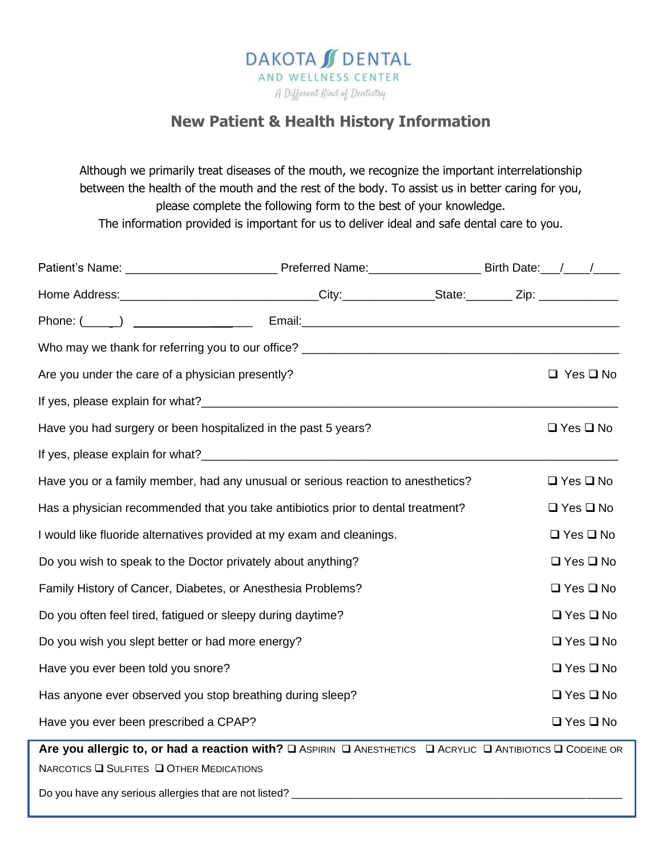

## **New Patient & Health History Information**

Although we primarily treat diseases of the mouth, we recognize the important interrelationship between the health of the mouth and the rest of the body. To assist us in better caring for you, please complete the following form to the best of your knowledge. The information provided is important for us to deliver ideal and safe dental care to you.

| Home Address:__________________________________City:_______________State:________ Zip: _____________ |                      |                      |                      |
|------------------------------------------------------------------------------------------------------|----------------------|----------------------|----------------------|
|                                                                                                      |                      |                      |                      |
|                                                                                                      |                      |                      |                      |
| Are you under the care of a physician presently?                                                     |                      |                      | $\Box$ Yes $\Box$ No |
|                                                                                                      |                      |                      |                      |
| Have you had surgery or been hospitalized in the past 5 years?                                       |                      | $\Box$ Yes $\Box$ No |                      |
|                                                                                                      |                      |                      |                      |
| Have you or a family member, had any unusual or serious reaction to anesthetics?                     |                      | $\Box$ Yes $\Box$ No |                      |
| Has a physician recommended that you take antibiotics prior to dental treatment?                     | $\Box$ Yes $\Box$ No |                      |                      |
| I would like fluoride alternatives provided at my exam and cleanings.                                |                      | $\Box$ Yes $\Box$ No |                      |
| Do you wish to speak to the Doctor privately about anything?                                         |                      |                      | $\Box$ Yes $\Box$ No |
| Family History of Cancer, Diabetes, or Anesthesia Problems?                                          |                      |                      | $\Box$ Yes $\Box$ No |
| Do you often feel tired, fatigued or sleepy during daytime?                                          |                      |                      | $\Box$ Yes $\Box$ No |
| Do you wish you slept better or had more energy?                                                     |                      |                      | $\Box$ Yes $\Box$ No |
| Have you ever been told you snore?                                                                   |                      |                      | $\Box$ Yes $\Box$ No |
| Has anyone ever observed you stop breathing during sleep?                                            |                      |                      | $\Box$ Yes $\Box$ No |
| Have you ever been prescribed a CPAP?                                                                |                      |                      | $\Box$ Yes $\Box$ No |

Are you allergic to, or had a reaction with? **QASPIRIN QANESTHETICS QACRYLIC QANTIBIOTICS Q CODEINE OR** NARCOTICS ❑ SULFITES ❑ OTHER MEDICATIONS

Do you have any serious allergies that are not listed? \_\_\_\_\_\_\_\_\_\_\_\_\_\_\_\_\_\_\_\_\_\_\_\_\_\_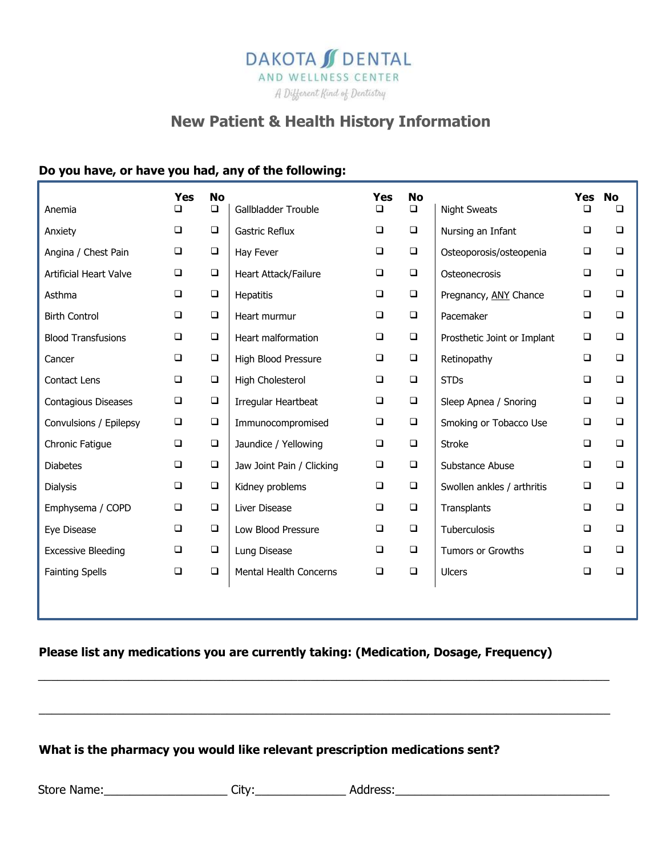# **DAKOTA Ø DENTAL** AND WELLNESS CENTER

A Different Kind of Dentistry

## **New Patient & Health History Information**

#### **Do you have, or have you had, any of the following:**

| Anemia                        | Yes<br>◻ | No<br>$\Box$ | Gallbladder Trouble           | Yes<br>◻ | No<br>$\Box$ | <b>Night Sweats</b>         | Yes<br>◻ | <b>No</b> |
|-------------------------------|----------|--------------|-------------------------------|----------|--------------|-----------------------------|----------|-----------|
| Anxiety                       | $\Box$   | $\Box$       | Gastric Reflux                | $\Box$   | $\Box$       | Nursing an Infant           | $\Box$   | $\Box$    |
| Angina / Chest Pain           | $\Box$   | $\Box$       | <b>Hay Fever</b>              | $\Box$   | $\Box$       | Osteoporosis/osteopenia     | $\Box$   | $\Box$    |
| <b>Artificial Heart Valve</b> | $\Box$   | $\Box$       | <b>Heart Attack/Failure</b>   | $\Box$   | $\Box$       | Osteonecrosis               | $\Box$   | $\Box$    |
| Asthma                        | $\Box$   | $\Box$       | <b>Hepatitis</b>              | $\Box$   | $\Box$       | Pregnancy, ANY Chance       | $\Box$   | $\Box$    |
| <b>Birth Control</b>          | $\Box$   | $\Box$       | Heart murmur                  | □        | $\Box$       | Pacemaker                   | $\Box$   | $\Box$    |
| <b>Blood Transfusions</b>     | $\Box$   | $\Box$       | Heart malformation            | ❏        | $\Box$       | Prosthetic Joint or Implant | $\Box$   | $\Box$    |
| Cancer                        | $\Box$   | $\Box$       | High Blood Pressure           | $\Box$   | $\Box$       | Retinopathy                 | $\Box$   | $\Box$    |
| Contact Lens                  | $\Box$   | $\Box$       | High Cholesterol              | □        | $\Box$       | <b>STDs</b>                 | $\Box$   | $\Box$    |
| Contagious Diseases           | $\Box$   | $\Box$       | Irregular Heartbeat           | <b>□</b> | $\Box$       | Sleep Apnea / Snoring       | $\Box$   | $\Box$    |
| Convulsions / Epilepsy        | $\Box$   | $\Box$       | Immunocompromised             | $\Box$   | $\Box$       | Smoking or Tobacco Use      | $\Box$   | $\Box$    |
| Chronic Fatigue               | $\Box$   | $\Box$       | Jaundice / Yellowing          | $\Box$   | $\Box$       | <b>Stroke</b>               | $\Box$   | $\Box$    |
| <b>Diabetes</b>               | $\Box$   | $\Box$       | Jaw Joint Pain / Clicking     | $\Box$   | $\Box$       | Substance Abuse             | $\Box$   | $\Box$    |
| <b>Dialysis</b>               | $\Box$   | $\Box$       | Kidney problems               | $\Box$   | $\Box$       | Swollen ankles / arthritis  | $\Box$   | $\Box$    |
| Emphysema / COPD              | $\Box$   | $\Box$       | Liver Disease                 | □        | $\Box$       | Transplants                 | $\Box$   | $\Box$    |
| Eye Disease                   | $\Box$   | $\Box$       | Low Blood Pressure            | □        | $\Box$       | Tuberculosis                | $\Box$   | $\Box$    |
| <b>Excessive Bleeding</b>     | $\Box$   | $\Box$       | Lung Disease                  | □        | $\Box$       | <b>Tumors or Growths</b>    | □        | $\Box$    |
| <b>Fainting Spells</b>        | $\Box$   | $\Box$       | <b>Mental Health Concerns</b> | $\Box$   | $\Box$       | Ulcers                      | $\Box$   | $\Box$    |

#### **Please list any medications you are currently taking: (Medication, Dosage, Frequency)**

 $\_$  , and the set of the set of the set of the set of the set of the set of the set of the set of the set of the set of the set of the set of the set of the set of the set of the set of the set of the set of the set of th

 $\_$  , and the set of the set of the set of the set of the set of the set of the set of the set of the set of the set of the set of the set of the set of the set of the set of the set of the set of the set of the set of th

### **What is the pharmacy you would like relevant prescription medications sent?**